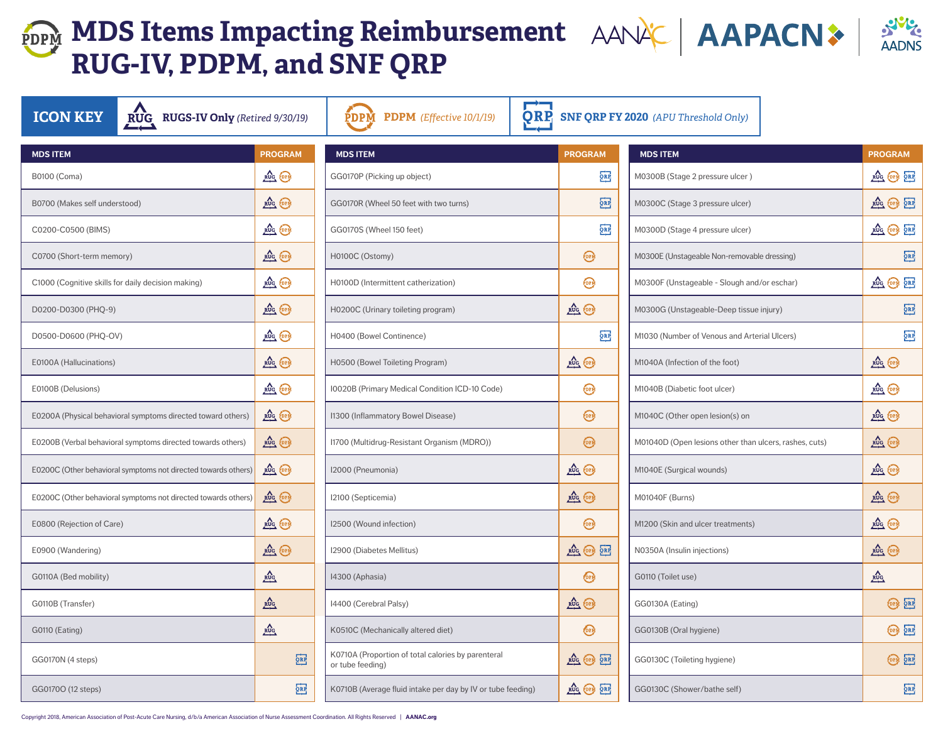## **MDS Items Impacting Reimbursement** AANAC | AAPACN > **RUG-IV, PDPM, and SNF QRP**

| <b>ICON KEY</b><br>RUG RUGS-IV Only (Retired 9/30/19)          |                                                          | PDPM<br><b>PDPM</b> (Effective 10/1/19)                                |                 | $\overline{\text{QRP}}$ SNF QRP FY 2020 (APU Threshold Only) |                 |
|----------------------------------------------------------------|----------------------------------------------------------|------------------------------------------------------------------------|-----------------|--------------------------------------------------------------|-----------------|
| <b>MDS ITEM</b>                                                | <b>PROGRAM</b>                                           | <b>MDS ITEM</b>                                                        | <b>PROGRAM</b>  | <b>MDS ITEM</b>                                              | <b>PROGRAM</b>  |
| B0100 (Coma)                                                   | <b>RUG PDPM</b>                                          | GG0170P (Picking up object)                                            | QRP             | M0300B (Stage 2 pressure ulcer)                              | RUG PDP 2       |
| B0700 (Makes self understood)                                  | <b>RUG PDPM</b>                                          | GG0170R (Wheel 50 feet with two turns)                                 | Q <sub>RP</sub> | M0300C (Stage 3 pressure ulcer)                              | RUG PDP 2       |
| C0200-C0500 (BIMS)                                             | RUG PDPM                                                 | GG0170S (Wheel 150 feet)                                               | Q <sub>RP</sub> | M0300D (Stage 4 pressure ulcer)                              | RUG PDPM        |
| C0700 (Short-term memory)                                      | RUG PDPM                                                 | H0100C (Ostomy)                                                        | PDPM            | M0300E (Unstageable Non-removable dressing)                  | <b>Pol</b>      |
| C1000 (Cognitive skills for daily decision making)             | <b>RUG PDPM</b>                                          | H0100D (Intermittent catherization)                                    | PDPM            | M0300F (Unstageable - Slough and/or eschar)                  | RUG PDPM        |
| D0200-D0300 (PHQ-9)                                            | <b>RUG PDPM</b>                                          | H0200C (Urinary toileting program)                                     | RUG PDPM        | M0300G (Unstageable-Deep tissue injury)                      | ရု              |
| D0500-D0600 (PHQ-OV)                                           | RUG PDPM                                                 | H0400 (Bowel Continence)                                               | QRE             | M1030 (Number of Venous and Arterial Ulcers)                 | $\overline{Q}$  |
| E0100A (Hallucinations)                                        | RUG PDPM                                                 | H0500 (Bowel Toileting Program)                                        | <b>RUG</b> PDPM | M1040A (Infection of the foot)                               | RUG PDP         |
| E0100B (Delusions)                                             | <b>RUG PDPM</b>                                          | I0020B (Primary Medical Condition ICD-10 Code)                         | PDPM            | M1040B (Diabetic foot ulcer)                                 | RUG PDPM        |
| E0200A (Physical behavioral symptoms directed toward others)   | RUG PDPM                                                 | I1300 (Inflammatory Bowel Disease)                                     | POPM            | M1040C (Other open lesion(s) on                              | RUG PDPM        |
| E0200B (Verbal behavioral symptoms directed towards others)    | RUG PDPM                                                 | I1700 (Multidrug-Resistant Organism (MDRO))                            | PDPM            | M01040D (Open lesions other than ulcers, rashes, cuts)       | RUG PDPM        |
| E0200C (Other behavioral symptoms not directed towards others) | RUG PDPM                                                 | I2000 (Pneumonia)                                                      | <b>RUG PDPM</b> | M1040E (Surgical wounds)                                     | RUG PDPM        |
| E0200C (Other behavioral symptoms not directed towards others) | <b>RUG</b> PDPM                                          | I2100 (Septicemia)                                                     | RUG PDPM        | M01040F (Burns)                                              | RUG PDPM        |
| E0800 (Rejection of Care)                                      | RUG PDPM                                                 | I2500 (Wound infection)                                                | PDPM            | M1200 (Skin and ulcer treatments)                            | RUG PDPM        |
| E0900 (Wandering)                                              | <b>RUG PDPM</b>                                          | 12900 (Diabetes Mellitus)                                              | RUG PDPM ORP    | N0350A (Insulin injections)                                  | RUG PDPM        |
| G0110A (Bed mobility)                                          | $\frac{RUC}{C}$                                          | I4300 (Aphasia)                                                        | <b>FORM</b>     | G0110 (Toilet use)                                           | $\frac{RUC}{C}$ |
| G0110B (Transfer)                                              | $\sum_{\mathrm{RUG}}$                                    | 14400 (Cerebral Palsy)                                                 | RUG PDPM        | GG0130A (Eating)                                             | PDPM QI         |
| <b>G0110 (Eating)</b>                                          | $\underline{\overset{\text{RUG}}{\phantom{\text{MIG}}}}$ | K0510C (Mechanically altered diet)                                     | <b>FORM</b>     | GG0130B (Oral hygiene)                                       | PDPN Q          |
| GG0170N (4 steps)                                              | $Q_{\rm RP}$                                             | K0710A (Proportion of total calories by parenteral<br>or tube feeding) | RUG PDPM ORP    | GG0130C (Toileting hygiene)                                  | <b>PDPM</b>     |
| GG0170O (12 steps)                                             | QRP                                                      | K0710B (Average fluid intake per day by IV or tube feeding)            | RUG PDPM ORP    | GG0130C (Shower/bathe self)                                  | $\overline{5}$  |

**SNYS** 

Copyright 2018, American Association of Post-Acute Care Nursing, d/b/a American Association of Nurse Assessment Coordination. All Rights Reserved | **AANAC.org**